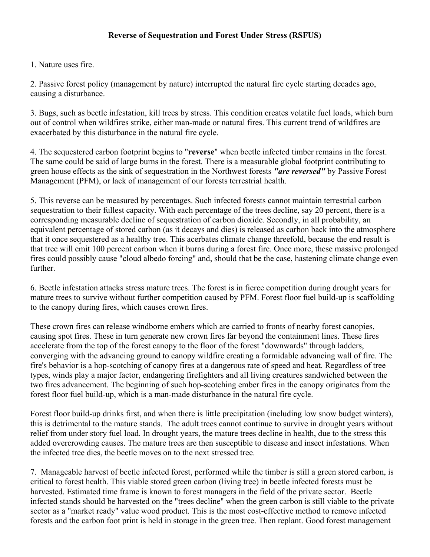1. Nature uses fire.

2. Passive forest policy (management by nature) interrupted the natural fire cycle starting decades ago, causing a disturbance.

3. Bugs, such as beetle infestation, kill trees by stress. This condition creates volatile fuel loads, which burn out of control when wildfires strike, either man-made or natural fires. This current trend of wildfires are exacerbated by this disturbance in the natural fire cycle.

4. The sequestered carbon footprint begins to "**reverse**" when beetle infected timber remains in the forest. The same could be said of large burns in the forest. There is a measurable global footprint contributing to green house effects as the sink of sequestration in the Northwest forests *"are reversed"* by Passive Forest Management (PFM), or lack of management of our forests terrestrial health.

5. This reverse can be measured by percentages. Such infected forests cannot maintain terrestrial carbon sequestration to their fullest capacity. With each percentage of the trees decline, say 20 percent, there is a corresponding measurable decline of sequestration of carbon dioxide. Secondly, in all probability, an equivalent percentage of stored carbon (as it decays and dies) is released as carbon back into the atmosphere that it once sequestered as a healthy tree. This acerbates climate change threefold, because the end result is that tree will emit 100 percent carbon when it burns during a forest fire. Once more, these massive prolonged fires could possibly cause "cloud albedo forcing" and, should that be the case, hastening climate change even further.

6. Beetle infestation attacks stress mature trees. The forest is in fierce competition during drought years for mature trees to survive without further competition caused by PFM. Forest floor fuel build-up is scaffolding to the canopy during fires, which causes crown fires.

These crown fires can release windborne embers which are carried to fronts of nearby forest canopies, causing spot fires. These in turn generate new crown fires far beyond the containment lines. These fires accelerate from the top of the forest canopy to the floor of the forest "downwards" through ladders, converging with the advancing ground to canopy wildfire creating a formidable advancing wall of fire. The fire's behavior is a hop-scotching of canopy fires at a dangerous rate of speed and heat. Regardless of tree types, winds play a major factor, endangering firefighters and all living creatures sandwiched between the two fires advancement. The beginning of such hop-scotching ember fires in the canopy originates from the forest floor fuel build-up, which is a man-made disturbance in the natural fire cycle.

Forest floor build-up drinks first, and when there is little precipitation (including low snow budget winters), this is detrimental to the mature stands. The adult trees cannot continue to survive in drought years without relief from under story fuel load. In drought years, the mature trees decline in health, due to the stress this added overcrowding causes. The mature trees are then susceptible to disease and insect infestations. When the infected tree dies, the beetle moves on to the next stressed tree.

7. Manageable harvest of beetle infected forest, performed while the timber is still a green stored carbon, is critical to forest health. This viable stored green carbon (living tree) in beetle infected forests must be harvested. Estimated time frame is known to forest managers in the field of the private sector. Beetle infected stands should be harvested on the "trees decline" when the green carbon is still viable to the private sector as a "market ready" value wood product. This is the most cost-effective method to remove infected forests and the carbon foot print is held in storage in the green tree. Then replant. Good forest management